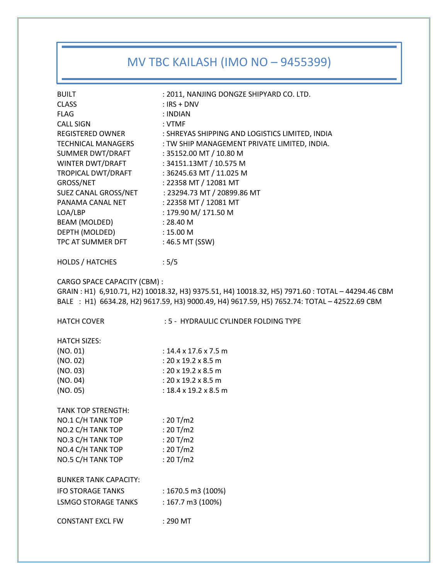# MV TBC KAILASH (IMO NO – 9455399)

| <b>BUILT</b>                                                                                                                                                                                                                          | : 2011, NANJING DONGZE SHIPYARD CO. LTD.         |  |
|---------------------------------------------------------------------------------------------------------------------------------------------------------------------------------------------------------------------------------------|--------------------------------------------------|--|
| <b>CLASS</b>                                                                                                                                                                                                                          | $:$ IRS + DNV                                    |  |
| <b>FLAG</b>                                                                                                                                                                                                                           | : INDIAN                                         |  |
| <b>CALL SIGN</b>                                                                                                                                                                                                                      | : VTMF                                           |  |
| REGISTERED OWNER                                                                                                                                                                                                                      | : SHREYAS SHIPPING AND LOGISTICS LIMITED, INDIA  |  |
| TECHNICAL MANAGERS                                                                                                                                                                                                                    | : TW SHIP MANAGEMENT PRIVATE LIMITED, INDIA.     |  |
| SUMMER DWT/DRAFT                                                                                                                                                                                                                      | : 35152.00 MT / 10.80 M                          |  |
| WINTER DWT/DRAFT                                                                                                                                                                                                                      | : 34151.13MT / 10.575 M                          |  |
| TROPICAL DWT/DRAFT                                                                                                                                                                                                                    | : 36245.63 MT / 11.025 M                         |  |
| GROSS/NET                                                                                                                                                                                                                             | : 22358 MT / 12081 MT                            |  |
|                                                                                                                                                                                                                                       | SUEZ CANAL GROSS/NET : 23294.73 MT / 20899.86 MT |  |
| PANAMA CANAL NET                                                                                                                                                                                                                      | : 22358 MT / 12081 MT                            |  |
| LOA/LBP                                                                                                                                                                                                                               | : 179.90 M/ 171.50 M                             |  |
| BEAM (MOLDED)                                                                                                                                                                                                                         | : 28.40 M                                        |  |
| DEPTH (MOLDED)                                                                                                                                                                                                                        | :15.00 <sub>M</sub>                              |  |
| TPC AT SUMMER DFT                                                                                                                                                                                                                     | : 46.5 MT (SSW)                                  |  |
| <b>HOLDS / HATCHES</b>                                                                                                                                                                                                                | :5/5                                             |  |
| <b>CARGO SPACE CAPACITY (CBM):</b><br>GRAIN: H1) 6,910.71, H2) 10018.32, H3) 9375.51, H4) 10018.32, H5) 7971.60: TOTAL - 44294.46 CBM<br>BALE : H1) 6634.28, H2) 9617.59, H3) 9000.49, H4) 9617.59, H5) 7652.74: TOTAL - 42522.69 CBM |                                                  |  |
|                                                                                                                                                                                                                                       |                                                  |  |
| <b>HATCH COVER</b>                                                                                                                                                                                                                    | : 5 - HYDRAULIC CYLINDER FOLDING TYPE            |  |
| <b>HATCH SIZES:</b>                                                                                                                                                                                                                   |                                                  |  |
|                                                                                                                                                                                                                                       | : $14.4 \times 17.6 \times 7.5$ m                |  |
| (NO. 01)                                                                                                                                                                                                                              | : $20 \times 19.2 \times 8.5$ m                  |  |
| (NO. 02)<br>(NO. 03)                                                                                                                                                                                                                  | : $20 \times 19.2 \times 8.5$ m                  |  |
| (NO. 04)                                                                                                                                                                                                                              | : $20 \times 19.2 \times 8.5$ m                  |  |
| (NO. 05)                                                                                                                                                                                                                              | : $18.4 \times 19.2 \times 8.5$ m                |  |
| <b>TANK TOP STRENGTH:</b>                                                                                                                                                                                                             |                                                  |  |
| NO.1 C/H TANK TOP                                                                                                                                                                                                                     | : $20 T/m2$                                      |  |
| NO.2 C/H TANK TOP                                                                                                                                                                                                                     | : 20 T/m2                                        |  |
| NO.3 C/H TANK TOP                                                                                                                                                                                                                     | : $20 T/m2$                                      |  |
| NO.4 C/H TANK TOP                                                                                                                                                                                                                     | : $20 T/m2$                                      |  |
| NO.5 C/H TANK TOP                                                                                                                                                                                                                     | : $20 T/m2$                                      |  |
| <b>BUNKER TANK CAPACITY:</b>                                                                                                                                                                                                          |                                                  |  |
| <b>IFO STORAGE TANKS</b>                                                                                                                                                                                                              |                                                  |  |
| <b>LSMGO STORAGE TANKS</b>                                                                                                                                                                                                            | : 1670.5 m3 (100%)<br>: 167.7 m3 (100%)          |  |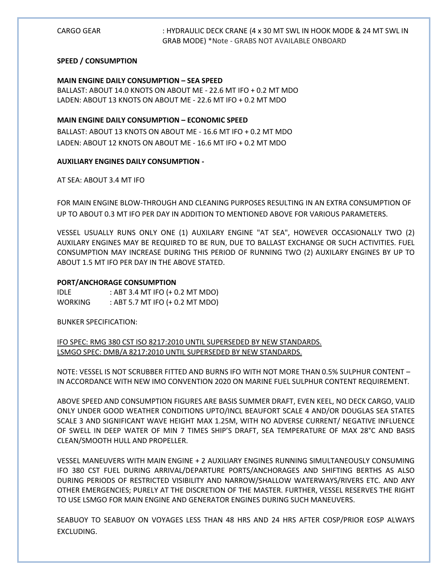### **SPEED / CONSUMPTION**

### **MAIN ENGINE DAILY CONSUMPTION – SEA SPEED**

BALLAST: ABOUT 14.0 KNOTS ON ABOUT ME - 22.6 MT IFO + 0.2 MT MDO LADEN: ABOUT 13 KNOTS ON ABOUT ME - 22.6 MT IFO + 0.2 MT MDO

## **MAIN ENGINE DAILY CONSUMPTION – ECONOMIC SPEED**

BALLAST: ABOUT 13 KNOTS ON ABOUT ME - 16.6 MT IFO + 0.2 MT MDO LADEN: ABOUT 12 KNOTS ON ABOUT ME - 16.6 MT IFO + 0.2 MT MDO

## **AUXILIARY ENGINES DAILY CONSUMPTION -**

AT SEA: ABOUT 3.4 MT IFO

FOR MAIN ENGINE BLOW-THROUGH AND CLEANING PURPOSES RESULTING IN AN EXTRA CONSUMPTION OF UP TO ABOUT 0.3 MT IFO PER DAY IN ADDITION TO MENTIONED ABOVE FOR VARIOUS PARAMETERS.

VESSEL USUALLY RUNS ONLY ONE (1) AUXILARY ENGINE "AT SEA", HOWEVER OCCASIONALLY TWO (2) AUXILARY ENGINES MAY BE REQUIRED TO BE RUN, DUE TO BALLAST EXCHANGE OR SUCH ACTIVITIES. FUEL CONSUMPTION MAY INCREASE DURING THIS PERIOD OF RUNNING TWO (2) AUXILARY ENGINES BY UP TO ABOUT 1.5 MT IFO PER DAY IN THE ABOVE STATED.

### **PORT/ANCHORAGE CONSUMPTION**

| <b>IDLE</b>    | : ABT 3.4 MT IFO (+ 0.2 MT MDO) |
|----------------|---------------------------------|
| <b>WORKING</b> | : ABT 5.7 MT IFO (+ 0.2 MT MDO) |

BUNKER SPECIFICATION:

IFO SPEC: RMG 380 CST ISO 8217:2010 UNTIL SUPERSEDED BY NEW STANDARDS. LSMGO SPEC: DMB/A 8217:2010 UNTIL SUPERSEDED BY NEW STANDARDS.

NOTE: VESSEL IS NOT SCRUBBER FITTED AND BURNS IFO WITH NOT MORE THAN 0.5% SULPHUR CONTENT – IN ACCORDANCE WITH NEW IMO CONVENTION 2020 ON MARINE FUEL SULPHUR CONTENT REQUIREMENT.

ABOVE SPEED AND CONSUMPTION FIGURES ARE BASIS SUMMER DRAFT, EVEN KEEL, NO DECK CARGO, VALID ONLY UNDER GOOD WEATHER CONDITIONS UPTO/INCL BEAUFORT SCALE 4 AND/OR DOUGLAS SEA STATES SCALE 3 AND SIGNIFICANT WAVE HEIGHT MAX 1.25M, WITH NO ADVERSE CURRENT/ NEGATIVE INFLUENCE OF SWELL IN DEEP WATER OF MIN 7 TIMES SHIP'S DRAFT, SEA TEMPERATURE OF MAX 28°C AND BASIS CLEAN/SMOOTH HULL AND PROPELLER.

VESSEL MANEUVERS WITH MAIN ENGINE + 2 AUXILIARY ENGINES RUNNING SIMULTANEOUSLY CONSUMING IFO 380 CST FUEL DURING ARRIVAL/DEPARTURE PORTS/ANCHORAGES AND SHIFTING BERTHS AS ALSO DURING PERIODS OF RESTRICTED VISIBILITY AND NARROW/SHALLOW WATERWAYS/RIVERS ETC. AND ANY OTHER EMERGENCIES; PURELY AT THE DISCRETION OF THE MASTER. FURTHER, VESSEL RESERVES THE RIGHT TO USE LSMGO FOR MAIN ENGINE AND GENERATOR ENGINES DURING SUCH MANEUVERS.

SEABUOY TO SEABUOY ON VOYAGES LESS THAN 48 HRS AND 24 HRS AFTER COSP/PRIOR EOSP ALWAYS EXCLUDING.